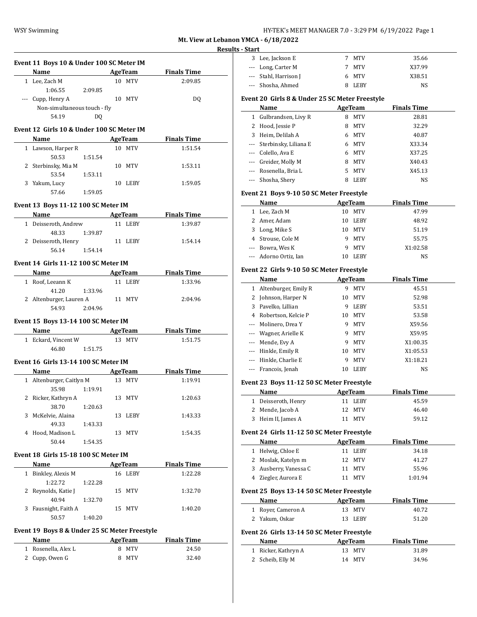| HY-TEK's MEET MANAGER 7.0 - 3:29 PM 6/19/2022 Page 1 |  |  |  |
|------------------------------------------------------|--|--|--|
|------------------------------------------------------|--|--|--|

**Mt. View at Lebanon YMCA - 6/18/2022 Results - Start** 

| Event 11 Boys 10 & Under 100 SC Meter IM<br>Name AgeTeam |         |                | <b>Finals Time</b>       |
|----------------------------------------------------------|---------|----------------|--------------------------|
| 1 Lee, Zach M                                            |         | 10 MTV         | 2:09.85                  |
| 1:06.55                                                  | 2:09.85 |                |                          |
| --- Cupp, Henry A                                        |         | 10 MTV         | DQ                       |
| Non-simultaneous touch - fly                             |         |                |                          |
| 54.19                                                    | DQ      |                |                          |
|                                                          |         |                |                          |
| Event 12 Girls 10 & Under 100 SC Meter IM                |         |                |                          |
|                                                          |         |                | Name AgeTeam Finals Time |
| 1 Lawson, Harper R                                       |         | 10 MTV         | 1:51.54                  |
| 50.53                                                    | 1:51.54 |                |                          |
| 2 Sterbinsky, Mia M                                      |         | 10 MTV         | 1:53.11                  |
| 53.54                                                    | 1:53.11 |                |                          |
| 3 Yakum, Lucy                                            |         | 10 LEBY        | 1:59.05                  |
| 57.66                                                    | 1:59.05 |                |                          |
| Event 13 Boys 11-12 100 SC Meter IM                      |         |                |                          |
| Name                                                     |         | <b>AgeTeam</b> | <b>Finals Time</b>       |
| 1 Deisseroth, Andrew                                     |         | 11 LEBY        | 1:39.87                  |
| 48.33                                                    | 1:39.87 |                |                          |
| 2 Deisseroth, Henry                                      |         | 11 LEBY        | 1:54.14                  |
| 56.14                                                    | 1:54.14 |                |                          |
|                                                          |         |                |                          |
| Event 14 Girls 11-12 100 SC Meter IM                     |         |                |                          |
| <b>Name</b>                                              |         | AgeTeam        | <b>Finals Time</b>       |
| 1 Roof, Leeann K                                         |         | 11 LEBY        | 1:33.96                  |
| 41.20                                                    | 1:33.96 |                |                          |
| 2 Altenburger, Lauren A                                  |         | 11 MTV         | 2:04.96                  |
| 54.93 2:04.96                                            |         |                |                          |
| Event 15 Boys 13-14 100 SC Meter IM                      |         |                |                          |
| Name                                                     |         | AgeTeam        | <b>Finals Time</b>       |
| 1 Eckard, Vincent W                                      |         | 13 MTV         | 1:51.75                  |
| 46.80 1:51.75                                            |         |                |                          |
|                                                          |         |                |                          |
| Event 16 Girls 13-14 100 SC Meter IM                     |         |                |                          |
| Name                                                     | AgeTeam |                | <b>Finals Time</b>       |
| 1 Altenburger, Caitlyn M                                 |         | 13 MTV         | 1:19.91                  |
| 35.98                                                    | 1:19.91 |                |                          |
|                                                          |         | 13 MTV         | 1:20.63                  |
| 2 Ricker, Kathryn A                                      |         |                |                          |
| 38.70                                                    | 1:20.63 |                |                          |
| 3 McKelvie, Alaina                                       |         | 13 LEBY        | 1:43.33                  |
| 49.33                                                    | 1:43.33 |                |                          |
| 4 Hood, Madison L                                        |         | 13 MTV         | 1:54.35                  |
| 50.44                                                    | 1:54.35 |                |                          |
| Event 18 Girls 15-18 100 SC Meter IM                     |         |                |                          |
|                                                          |         |                |                          |
| Name                                                     |         | AgeTeam        | <b>Finals Time</b>       |
| 1 Binkley, Alexis M                                      |         | 16 LEBY        | 1:22.28                  |
| 1:22.72                                                  | 1:22.28 |                |                          |
| 2 Reynolds, Katie J                                      |         | 15 MTV         | 1:32.70                  |
| 40.94                                                    | 1:32.70 |                |                          |
| 3 Fausnight, Faith A                                     |         | 15 MTV         | 1:40.20                  |
| 50.57                                                    | 1:40.20 |                |                          |
| Event 19 Boys 8 & Under 25 SC Meter Freestyle            |         |                |                          |

| <b>Name</b>         | AgeTeam   | <b>Finals Time</b> |  |
|---------------------|-----------|--------------------|--|
| 1 Rosenella, Alex L | MTV<br>8  | 24.50              |  |
| 2 Cupp, Owen G      | MTV<br>8. | 32.40              |  |

| : - Start |                                                |                |                |                    |  |
|-----------|------------------------------------------------|----------------|----------------|--------------------|--|
|           | 3 Lee, Jackson E                               | 7              | MTV            | 35.66              |  |
|           | --- Long, Carter M                             | 7              | MTV            | X37.99             |  |
|           | --- Stahl, Harrison J                          | 6              | MTV            | X38.51             |  |
|           | --- Shosha, Ahmed                              | 8              | LEBY           | NS                 |  |
|           | Event 20 Girls 8 & Under 25 SC Meter Freestyle |                |                |                    |  |
|           |                                                |                |                |                    |  |
|           | Name                                           |                | <b>AgeTeam</b> | <b>Finals Time</b> |  |
|           | 1 Gulbrandsen, Livy R                          | 8              | <b>MTV</b>     | 28.81              |  |
|           | 2 Hood, Jessie P                               | 8              | MTV            | 32.29              |  |
|           | 3 Heim, Delilah A                              |                | 6 MTV          | 40.87              |  |
|           | --- Sterbinsky, Liliana E                      |                | 6 MTV          | X33.34             |  |
|           | --- Colello, Ava E                             |                | 6 MTV          | X37.25             |  |
|           | --- Greider, Molly M                           | 8              | MTV            | X40.43             |  |
|           | --- Rosenella, Bria L                          | 5              | MTV            | X45.13             |  |
| $---$     | Shosha, Shery                                  | 8              | LEBY           | NS                 |  |
|           | Event 21 Boys 9-10 50 SC Meter Freestyle       |                |                |                    |  |
|           | Name                                           |                | AgeTeam        | <b>Finals Time</b> |  |
|           | 1 Lee, Zach M                                  | 10             | MTV            | 47.99              |  |
|           | 2 Amer, Adam                                   | 10             | LEBY           | 48.92              |  |
|           | 3 Long, Mike S                                 | 10             | MTV            | 51.19              |  |
|           | 4 Strouse, Cole M                              | 9              | MTV            | 55.75              |  |
|           | --- Bowra, Wes K                               | 9              | MTV            | X1:02.58           |  |
| ---       | Adorno Ortiz, Ian                              | 10             | LEBY           | NS                 |  |
|           | Event 22 Girls 9-10 50 SC Meter Freestyle      |                |                |                    |  |
|           | Name                                           |                | <b>AgeTeam</b> | <b>Finals Time</b> |  |
|           | 1 Altenburger, Emily R                         | 9.             | MTV            | 45.51              |  |
|           | 2 Johnson, Harper N                            | 10             | MTV            | 52.98              |  |
|           |                                                |                |                |                    |  |
| 3         | Pavelko, Lillian                               | 9              | LEBY           | 53.51              |  |
| 4         | Robertson, Kelcie P                            | 10             | MTV            | 53.58              |  |
| $- - -$   | Molinero, Drea Y                               | 9              | MTV            | X59.56             |  |
| ---       | Wagner, Arielle K                              | 9              | MTV            | X59.95             |  |
| ---       | Mende, Evy A                                   | 9              | MTV            | X1:00.35           |  |
| ---       | Hinkle, Emily R                                | 10             | MTV            | X1:05.53           |  |
|           | --- Hinkle, Charlie E                          | 9              | MTV            | X1:18.21           |  |
| ---       | Francois, Jenah                                | 10             | LEBY           | NS                 |  |
|           | Event 23 Boys 11-12 50 SC Meter Freestyle      |                |                |                    |  |
|           | Name                                           | <b>AgeTeam</b> |                | <b>Finals Time</b> |  |
| 1         | Deisseroth, Henry                              | 11             | LEBY           | 45.59              |  |
| 2         | Mende, Jacob A                                 | 12             | MTV            | 46.40              |  |
| 3         | Heim II, James A                               | 11             | MTV            | 59.12              |  |
|           | Event 24 Girls 11-12 50 SC Meter Freestyle     |                |                |                    |  |
|           | Name                                           |                | <b>AgeTeam</b> | <b>Finals Time</b> |  |
| 1         | Helwig, Chloe E                                | 11             | LEBY           | 34.18              |  |
| 2         | Moslak, Katelyn m                              | 12             | MTV            | 41.27              |  |
| 3         | Ausberry, Vanessa C                            | 11             | <b>MTV</b>     | 55.96              |  |

## **Event 25 Boys 13-14 50 SC Meter Freestyle**

| Name           |                    | AgeTeam | <b>Finals Time</b> |       |  |
|----------------|--------------------|---------|--------------------|-------|--|
|                | 1 Rover, Cameron A | 13 MTV  |                    | 40.72 |  |
| 2 Yakum, Oskar |                    | 13 LEBY |                    | 51.20 |  |

4 Ziegler, Aurora E 11 MTV 1:01.94

## **Event 26 Girls 13-14 50 SC Meter Freestyle**

| Name                | AgeTeam | <b>Finals Time</b> |  |
|---------------------|---------|--------------------|--|
| 1 Ricker, Kathryn A | 13 MTV  | 31.89              |  |
| 2 Scheib, Elly M    | 14 MTV  | 34.96              |  |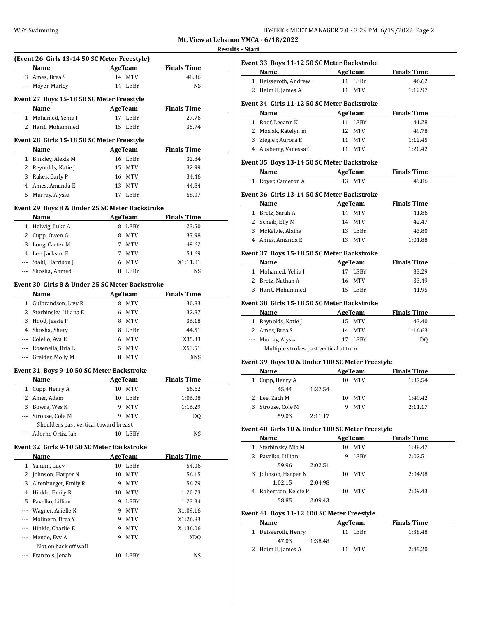# **Results - Start**

| Name<br>3 Ames. Brea S<br>--- Moyer, Marley |                                                                                                                                                                                                                                                                                                                                                                                                                                                                                                                                                               | <b>AgeTeam</b><br>14 MTV          | <b>Finals Time</b><br>48.36                                                                                                                                                                                                                                                                                                                                                                                                                                                                                                                                         |                                                                                                                                                                                                                                                                                                                                                                                                                                           |
|---------------------------------------------|---------------------------------------------------------------------------------------------------------------------------------------------------------------------------------------------------------------------------------------------------------------------------------------------------------------------------------------------------------------------------------------------------------------------------------------------------------------------------------------------------------------------------------------------------------------|-----------------------------------|---------------------------------------------------------------------------------------------------------------------------------------------------------------------------------------------------------------------------------------------------------------------------------------------------------------------------------------------------------------------------------------------------------------------------------------------------------------------------------------------------------------------------------------------------------------------|-------------------------------------------------------------------------------------------------------------------------------------------------------------------------------------------------------------------------------------------------------------------------------------------------------------------------------------------------------------------------------------------------------------------------------------------|
|                                             |                                                                                                                                                                                                                                                                                                                                                                                                                                                                                                                                                               |                                   |                                                                                                                                                                                                                                                                                                                                                                                                                                                                                                                                                                     |                                                                                                                                                                                                                                                                                                                                                                                                                                           |
|                                             |                                                                                                                                                                                                                                                                                                                                                                                                                                                                                                                                                               |                                   |                                                                                                                                                                                                                                                                                                                                                                                                                                                                                                                                                                     |                                                                                                                                                                                                                                                                                                                                                                                                                                           |
|                                             |                                                                                                                                                                                                                                                                                                                                                                                                                                                                                                                                                               | 14 LEBY                           | NS                                                                                                                                                                                                                                                                                                                                                                                                                                                                                                                                                                  |                                                                                                                                                                                                                                                                                                                                                                                                                                           |
|                                             |                                                                                                                                                                                                                                                                                                                                                                                                                                                                                                                                                               |                                   |                                                                                                                                                                                                                                                                                                                                                                                                                                                                                                                                                                     |                                                                                                                                                                                                                                                                                                                                                                                                                                           |
| Event 27 Boys 15-18 50 SC Meter Freestyle   |                                                                                                                                                                                                                                                                                                                                                                                                                                                                                                                                                               |                                   |                                                                                                                                                                                                                                                                                                                                                                                                                                                                                                                                                                     |                                                                                                                                                                                                                                                                                                                                                                                                                                           |
|                                             |                                                                                                                                                                                                                                                                                                                                                                                                                                                                                                                                                               |                                   |                                                                                                                                                                                                                                                                                                                                                                                                                                                                                                                                                                     |                                                                                                                                                                                                                                                                                                                                                                                                                                           |
|                                             |                                                                                                                                                                                                                                                                                                                                                                                                                                                                                                                                                               |                                   |                                                                                                                                                                                                                                                                                                                                                                                                                                                                                                                                                                     |                                                                                                                                                                                                                                                                                                                                                                                                                                           |
|                                             |                                                                                                                                                                                                                                                                                                                                                                                                                                                                                                                                                               |                                   |                                                                                                                                                                                                                                                                                                                                                                                                                                                                                                                                                                     |                                                                                                                                                                                                                                                                                                                                                                                                                                           |
|                                             |                                                                                                                                                                                                                                                                                                                                                                                                                                                                                                                                                               |                                   |                                                                                                                                                                                                                                                                                                                                                                                                                                                                                                                                                                     |                                                                                                                                                                                                                                                                                                                                                                                                                                           |
| Name                                        |                                                                                                                                                                                                                                                                                                                                                                                                                                                                                                                                                               |                                   | <b>Finals Time</b>                                                                                                                                                                                                                                                                                                                                                                                                                                                                                                                                                  |                                                                                                                                                                                                                                                                                                                                                                                                                                           |
| 1 Binkley, Alexis M                         |                                                                                                                                                                                                                                                                                                                                                                                                                                                                                                                                                               |                                   | 32.84                                                                                                                                                                                                                                                                                                                                                                                                                                                                                                                                                               |                                                                                                                                                                                                                                                                                                                                                                                                                                           |
| 2 Reynolds, Katie J                         |                                                                                                                                                                                                                                                                                                                                                                                                                                                                                                                                                               |                                   | 32.99                                                                                                                                                                                                                                                                                                                                                                                                                                                                                                                                                               |                                                                                                                                                                                                                                                                                                                                                                                                                                           |
| 3 Rakes, Carly P                            |                                                                                                                                                                                                                                                                                                                                                                                                                                                                                                                                                               |                                   | 34.46                                                                                                                                                                                                                                                                                                                                                                                                                                                                                                                                                               |                                                                                                                                                                                                                                                                                                                                                                                                                                           |
| 4 Ames, Amanda E                            |                                                                                                                                                                                                                                                                                                                                                                                                                                                                                                                                                               |                                   | 44.84                                                                                                                                                                                                                                                                                                                                                                                                                                                                                                                                                               |                                                                                                                                                                                                                                                                                                                                                                                                                                           |
| 5 Murray, Alyssa                            |                                                                                                                                                                                                                                                                                                                                                                                                                                                                                                                                                               |                                   | 58.07                                                                                                                                                                                                                                                                                                                                                                                                                                                                                                                                                               |                                                                                                                                                                                                                                                                                                                                                                                                                                           |
|                                             |                                                                                                                                                                                                                                                                                                                                                                                                                                                                                                                                                               |                                   |                                                                                                                                                                                                                                                                                                                                                                                                                                                                                                                                                                     |                                                                                                                                                                                                                                                                                                                                                                                                                                           |
|                                             |                                                                                                                                                                                                                                                                                                                                                                                                                                                                                                                                                               |                                   |                                                                                                                                                                                                                                                                                                                                                                                                                                                                                                                                                                     |                                                                                                                                                                                                                                                                                                                                                                                                                                           |
|                                             |                                                                                                                                                                                                                                                                                                                                                                                                                                                                                                                                                               |                                   |                                                                                                                                                                                                                                                                                                                                                                                                                                                                                                                                                                     |                                                                                                                                                                                                                                                                                                                                                                                                                                           |
|                                             |                                                                                                                                                                                                                                                                                                                                                                                                                                                                                                                                                               |                                   |                                                                                                                                                                                                                                                                                                                                                                                                                                                                                                                                                                     |                                                                                                                                                                                                                                                                                                                                                                                                                                           |
|                                             | 8.                                                                                                                                                                                                                                                                                                                                                                                                                                                                                                                                                            |                                   |                                                                                                                                                                                                                                                                                                                                                                                                                                                                                                                                                                     |                                                                                                                                                                                                                                                                                                                                                                                                                                           |
|                                             |                                                                                                                                                                                                                                                                                                                                                                                                                                                                                                                                                               |                                   | 49.62                                                                                                                                                                                                                                                                                                                                                                                                                                                                                                                                                               |                                                                                                                                                                                                                                                                                                                                                                                                                                           |
|                                             |                                                                                                                                                                                                                                                                                                                                                                                                                                                                                                                                                               |                                   |                                                                                                                                                                                                                                                                                                                                                                                                                                                                                                                                                                     |                                                                                                                                                                                                                                                                                                                                                                                                                                           |
|                                             |                                                                                                                                                                                                                                                                                                                                                                                                                                                                                                                                                               |                                   |                                                                                                                                                                                                                                                                                                                                                                                                                                                                                                                                                                     |                                                                                                                                                                                                                                                                                                                                                                                                                                           |
|                                             |                                                                                                                                                                                                                                                                                                                                                                                                                                                                                                                                                               |                                   |                                                                                                                                                                                                                                                                                                                                                                                                                                                                                                                                                                     |                                                                                                                                                                                                                                                                                                                                                                                                                                           |
|                                             |                                                                                                                                                                                                                                                                                                                                                                                                                                                                                                                                                               |                                   |                                                                                                                                                                                                                                                                                                                                                                                                                                                                                                                                                                     |                                                                                                                                                                                                                                                                                                                                                                                                                                           |
|                                             |                                                                                                                                                                                                                                                                                                                                                                                                                                                                                                                                                               |                                   |                                                                                                                                                                                                                                                                                                                                                                                                                                                                                                                                                                     |                                                                                                                                                                                                                                                                                                                                                                                                                                           |
|                                             |                                                                                                                                                                                                                                                                                                                                                                                                                                                                                                                                                               |                                   |                                                                                                                                                                                                                                                                                                                                                                                                                                                                                                                                                                     |                                                                                                                                                                                                                                                                                                                                                                                                                                           |
|                                             |                                                                                                                                                                                                                                                                                                                                                                                                                                                                                                                                                               |                                   |                                                                                                                                                                                                                                                                                                                                                                                                                                                                                                                                                                     |                                                                                                                                                                                                                                                                                                                                                                                                                                           |
|                                             |                                                                                                                                                                                                                                                                                                                                                                                                                                                                                                                                                               |                                   |                                                                                                                                                                                                                                                                                                                                                                                                                                                                                                                                                                     |                                                                                                                                                                                                                                                                                                                                                                                                                                           |
|                                             |                                                                                                                                                                                                                                                                                                                                                                                                                                                                                                                                                               |                                   |                                                                                                                                                                                                                                                                                                                                                                                                                                                                                                                                                                     |                                                                                                                                                                                                                                                                                                                                                                                                                                           |
|                                             |                                                                                                                                                                                                                                                                                                                                                                                                                                                                                                                                                               |                                   |                                                                                                                                                                                                                                                                                                                                                                                                                                                                                                                                                                     |                                                                                                                                                                                                                                                                                                                                                                                                                                           |
|                                             |                                                                                                                                                                                                                                                                                                                                                                                                                                                                                                                                                               |                                   |                                                                                                                                                                                                                                                                                                                                                                                                                                                                                                                                                                     |                                                                                                                                                                                                                                                                                                                                                                                                                                           |
|                                             |                                                                                                                                                                                                                                                                                                                                                                                                                                                                                                                                                               |                                   |                                                                                                                                                                                                                                                                                                                                                                                                                                                                                                                                                                     |                                                                                                                                                                                                                                                                                                                                                                                                                                           |
|                                             |                                                                                                                                                                                                                                                                                                                                                                                                                                                                                                                                                               |                                   |                                                                                                                                                                                                                                                                                                                                                                                                                                                                                                                                                                     |                                                                                                                                                                                                                                                                                                                                                                                                                                           |
|                                             |                                                                                                                                                                                                                                                                                                                                                                                                                                                                                                                                                               |                                   |                                                                                                                                                                                                                                                                                                                                                                                                                                                                                                                                                                     |                                                                                                                                                                                                                                                                                                                                                                                                                                           |
| Name                                        |                                                                                                                                                                                                                                                                                                                                                                                                                                                                                                                                                               |                                   |                                                                                                                                                                                                                                                                                                                                                                                                                                                                                                                                                                     |                                                                                                                                                                                                                                                                                                                                                                                                                                           |
|                                             |                                                                                                                                                                                                                                                                                                                                                                                                                                                                                                                                                               |                                   | 56.62                                                                                                                                                                                                                                                                                                                                                                                                                                                                                                                                                               |                                                                                                                                                                                                                                                                                                                                                                                                                                           |
| Amer, Adam                                  |                                                                                                                                                                                                                                                                                                                                                                                                                                                                                                                                                               |                                   | 1:06.08                                                                                                                                                                                                                                                                                                                                                                                                                                                                                                                                                             |                                                                                                                                                                                                                                                                                                                                                                                                                                           |
| Bowra, Wes K                                |                                                                                                                                                                                                                                                                                                                                                                                                                                                                                                                                                               | MTV                               | 1:16.29                                                                                                                                                                                                                                                                                                                                                                                                                                                                                                                                                             |                                                                                                                                                                                                                                                                                                                                                                                                                                           |
| Strouse. Cole M                             | 9                                                                                                                                                                                                                                                                                                                                                                                                                                                                                                                                                             | MTV                               | DQ                                                                                                                                                                                                                                                                                                                                                                                                                                                                                                                                                                  |                                                                                                                                                                                                                                                                                                                                                                                                                                           |
|                                             |                                                                                                                                                                                                                                                                                                                                                                                                                                                                                                                                                               |                                   |                                                                                                                                                                                                                                                                                                                                                                                                                                                                                                                                                                     |                                                                                                                                                                                                                                                                                                                                                                                                                                           |
| Adorno Ortiz, Ian                           |                                                                                                                                                                                                                                                                                                                                                                                                                                                                                                                                                               |                                   | NS                                                                                                                                                                                                                                                                                                                                                                                                                                                                                                                                                                  |                                                                                                                                                                                                                                                                                                                                                                                                                                           |
|                                             |                                                                                                                                                                                                                                                                                                                                                                                                                                                                                                                                                               |                                   |                                                                                                                                                                                                                                                                                                                                                                                                                                                                                                                                                                     |                                                                                                                                                                                                                                                                                                                                                                                                                                           |
|                                             |                                                                                                                                                                                                                                                                                                                                                                                                                                                                                                                                                               |                                   |                                                                                                                                                                                                                                                                                                                                                                                                                                                                                                                                                                     |                                                                                                                                                                                                                                                                                                                                                                                                                                           |
|                                             |                                                                                                                                                                                                                                                                                                                                                                                                                                                                                                                                                               |                                   |                                                                                                                                                                                                                                                                                                                                                                                                                                                                                                                                                                     |                                                                                                                                                                                                                                                                                                                                                                                                                                           |
|                                             |                                                                                                                                                                                                                                                                                                                                                                                                                                                                                                                                                               |                                   |                                                                                                                                                                                                                                                                                                                                                                                                                                                                                                                                                                     |                                                                                                                                                                                                                                                                                                                                                                                                                                           |
|                                             |                                                                                                                                                                                                                                                                                                                                                                                                                                                                                                                                                               |                                   |                                                                                                                                                                                                                                                                                                                                                                                                                                                                                                                                                                     |                                                                                                                                                                                                                                                                                                                                                                                                                                           |
|                                             |                                                                                                                                                                                                                                                                                                                                                                                                                                                                                                                                                               |                                   |                                                                                                                                                                                                                                                                                                                                                                                                                                                                                                                                                                     |                                                                                                                                                                                                                                                                                                                                                                                                                                           |
|                                             |                                                                                                                                                                                                                                                                                                                                                                                                                                                                                                                                                               |                                   |                                                                                                                                                                                                                                                                                                                                                                                                                                                                                                                                                                     |                                                                                                                                                                                                                                                                                                                                                                                                                                           |
|                                             |                                                                                                                                                                                                                                                                                                                                                                                                                                                                                                                                                               |                                   |                                                                                                                                                                                                                                                                                                                                                                                                                                                                                                                                                                     |                                                                                                                                                                                                                                                                                                                                                                                                                                           |
|                                             |                                                                                                                                                                                                                                                                                                                                                                                                                                                                                                                                                               |                                   |                                                                                                                                                                                                                                                                                                                                                                                                                                                                                                                                                                     |                                                                                                                                                                                                                                                                                                                                                                                                                                           |
|                                             |                                                                                                                                                                                                                                                                                                                                                                                                                                                                                                                                                               |                                   |                                                                                                                                                                                                                                                                                                                                                                                                                                                                                                                                                                     |                                                                                                                                                                                                                                                                                                                                                                                                                                           |
|                                             |                                                                                                                                                                                                                                                                                                                                                                                                                                                                                                                                                               |                                   |                                                                                                                                                                                                                                                                                                                                                                                                                                                                                                                                                                     |                                                                                                                                                                                                                                                                                                                                                                                                                                           |
| Mende, Evy A                                | 9                                                                                                                                                                                                                                                                                                                                                                                                                                                                                                                                                             | MTV                               | XDQ                                                                                                                                                                                                                                                                                                                                                                                                                                                                                                                                                                 |                                                                                                                                                                                                                                                                                                                                                                                                                                           |
|                                             |                                                                                                                                                                                                                                                                                                                                                                                                                                                                                                                                                               |                                   |                                                                                                                                                                                                                                                                                                                                                                                                                                                                                                                                                                     |                                                                                                                                                                                                                                                                                                                                                                                                                                           |
| Not on back off wall<br>Francois, Jenah     | 10                                                                                                                                                                                                                                                                                                                                                                                                                                                                                                                                                            | LEBY                              | NS                                                                                                                                                                                                                                                                                                                                                                                                                                                                                                                                                                  |                                                                                                                                                                                                                                                                                                                                                                                                                                           |
|                                             | Name<br>1 Mohamed, Yehia I<br>2 Harit, Mohammed<br>Name<br>1 Helwig, Luke A<br>2 Cupp, Owen G<br>3 Long, Carter M<br>4 Lee, Jackson E<br>--- Stahl, Harrison J<br>--- Shosha, Ahmed<br>Name<br>1 Gulbrandsen, Livy R<br>2 Sterbinsky, Liliana E<br>3 Hood, Jessie P<br>4 Shosha, Shery<br>--- Colello, Ava E<br>--- Rosenella, Bria L<br>--- Greider, Molly M<br>1 Cupp, Henry A<br>Name<br>Yakum, Lucy<br>Johnson, Harper N<br>Altenburger, Emily R<br>4 Hinkle, Emily R<br>5 Pavelko, Lillian<br>Wagner, Arielle K<br>Molinero, Drea Y<br>Hinkle, Charlie E | 10<br>9<br>10<br>9<br>9<br>9<br>9 | AgeTeam<br>17 LEBY<br>15 LEBY<br>Event 28 Girls 15-18 50 SC Meter Freestyle<br><b>AgeTeam</b><br>16 LEBY<br>15 MTV<br>16 MTV<br>13 MTV<br>17 LEBY<br>AgeTeam<br>8 LEBY<br>MTV<br>7 MTV<br>7 MTV<br>6 MTV<br>8 LEBY<br>AgeTeam<br>8 MTV<br>6 MTV<br>8 MTV<br>8 LEBY<br>6 MTV<br>5 MTV<br>8 MTV<br>Event 31 Boys 9-10 50 SC Meter Backstroke<br>AgeTeam<br>10 MTV<br>10 LEBY<br>9<br>Shoulders past vertical toward breast<br>10 LEBY<br>Event 32 Girls 9-10 50 SC Meter Backstroke<br><b>AgeTeam</b><br>LEBY<br>10<br>MTV<br>MTV<br>MTV<br>LEBY<br>MTV<br>MTV<br>MTV | <b>Finals Time</b><br>27.76<br>35.74<br>Event 29 Boys 8 & Under 25 SC Meter Backstroke<br><b>Finals Time</b><br>23.50<br>37.98<br>51.69<br>X1:11.81<br>NS<br>Event 30 Girls 8 & Under 25 SC Meter Backstroke<br><b>Finals Time</b><br>30.83<br>32.87<br>36.18<br>44.51<br>X35.33<br>X53.51<br><b>XNS</b><br><b>Finals Time</b><br><b>Finals Time</b><br>54.06<br>56.15<br>56.79<br>1:20.73<br>1:23.34<br>X1:09.16<br>X1:26.83<br>X1:36.06 |

| <b>Name</b>                                                  |                           | AgeTeam Finals Time            |
|--------------------------------------------------------------|---------------------------|--------------------------------|
| 1 Deisseroth, Andrew                                         | 11 LEBY                   | 46.62                          |
| 2 Heim II, James A                                           | 11 MTV                    | 1:12.97                        |
|                                                              |                           |                                |
| Event 34 Girls 11-12 50 SC Meter Backstroke                  |                           |                                |
| Name                                                         | <b>AgeTeam</b>            | <b>Finals Time</b>             |
| 1 Roof, Leeann K                                             | 11 LEBY                   | 41.28                          |
| 2 Moslak, Katelyn m                                          | 12 MTV                    | 49.78                          |
| 3 Ziegler, Aurora E                                          | 11 MTV                    | 1:12.45                        |
| 4 Ausberry, Vanessa C                                        | 11 MTV                    | 1:20.42                        |
| Event 35 Boys 13-14 50 SC Meter Backstroke                   |                           |                                |
| Name AgeTeam                                                 |                           | <b>Finals Time</b>             |
| 1 Royer, Cameron A                                           | 13 MTV                    | 49.86                          |
| Event 36 Girls 13-14 50 SC Meter Backstroke                  |                           |                                |
| Name                                                         | <b>Example 2</b> AgeTeam  | <b>Finals Time</b>             |
| 1 Bretz, Sarah A                                             | 14 MTV                    | 41.86                          |
| 2 Scheib, Elly M                                             | 14 MTV                    | 42.47                          |
| 3 McKelvie, Alaina                                           | 13 LEBY                   | 43.80                          |
| 4 Ames, Amanda E                                             | 13 MTV                    |                                |
|                                                              |                           | 1:01.88                        |
| Event 37 Boys 15-18 50 SC Meter Backstroke                   |                           |                                |
| Name AgeTeam                                                 |                           | <b>Finals Time</b>             |
| 1 Mohamed, Yehia I                                           | 17 LEBY                   | 33.29                          |
| 2 Bretz, Nathan A                                            | 16 MTV                    | 33.49                          |
| 3 Harit, Mohammed                                            | 15 LEBY                   | 41.95                          |
| Event 38 Girls 15-18 50 SC Meter Backstroke<br>Name          | AgeTeam                   | <b>Finals Time</b>             |
| 1 Reynolds, Katie J                                          | 15 MTV                    | 43.40                          |
| 2 Ames, Brea S                                               | 14 MTV                    | 1:16.63                        |
|                                                              |                           | DQ                             |
|                                                              | 17 LEBY                   |                                |
| --- Murray, Alyssa<br>Multiple strokes past vertical at turn |                           |                                |
|                                                              |                           |                                |
| Event 39 Boys 10 & Under 100 SC Meter Freestyle              |                           |                                |
|                                                              |                           |                                |
| 1 Cupp, Henry A                                              | 10 MTV                    |                                |
| 45.44<br>1:37.54                                             |                           |                                |
| 2 Lee. Zach M                                                | 10 MTV                    | 1:49.42                        |
| 3 Strouse, Cole M                                            | 9<br>MTV                  | 2:11.17                        |
| 59.03<br>2:11.17                                             |                           | AgeTeam Finals Time<br>1:37.54 |
| Event 40 Girls 10 & Under 100 SC Meter Freestyle             |                           |                                |
| Name                                                         | AgeTeam                   | <b>Finals Time</b>             |
| 1 Sterbinsky, Mia M                                          | 10 MTV                    | 1:38.47                        |
| 2 Pavelko, Lillian                                           | 9 LEBY                    |                                |
| 59.96<br>2:02.51                                             |                           |                                |
| 3 Johnson, Harper N                                          | 10 MTV                    |                                |
| 1:02.15<br>2:04.98                                           |                           |                                |
| 4 Robertson, Kelcie P                                        | 10 MTV                    | 2:09.43                        |
| 58.85<br>2:09.43                                             |                           | 2:02.51<br>2:04.98             |
|                                                              |                           |                                |
| Event 41 Boys 11-12 100 SC Meter Freestyle<br>Name           |                           |                                |
|                                                              | <b>AgeTeam</b><br>11 LEBY |                                |
| 1 Deisseroth, Henry<br>47.03<br>1:38.48                      |                           | <b>Finals Time</b><br>1:38.48  |
| 2 Heim II, James A                                           | 11 MTV                    | 2:45.20                        |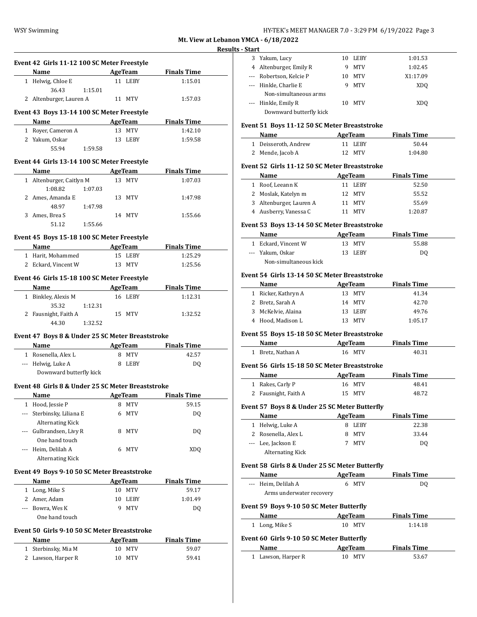| HY-TEK's MEET MANAGER 7.0 - 3:29 PM 6/19/2022 Page 3 |  |  |  |
|------------------------------------------------------|--|--|--|
|------------------------------------------------------|--|--|--|

#### **Results - Start**

|     | Event 42 Girls 11-12 100 SC Meter Freestyle<br>Name Manual Manual Manual Manual Manual Manual Manual Manual Manual Manual Manual Manual Manual Manual Manual Ma                                                                                                               |        |                | AgeTeam Finals Time         |
|-----|-------------------------------------------------------------------------------------------------------------------------------------------------------------------------------------------------------------------------------------------------------------------------------|--------|----------------|-----------------------------|
|     | 1 Helwig, Chloe E                                                                                                                                                                                                                                                             |        | 11 LEBY        | 1:15.01                     |
|     | 36.43 1:15.01                                                                                                                                                                                                                                                                 |        |                |                             |
|     | 2 Altenburger, Lauren A                                                                                                                                                                                                                                                       |        | 11 MTV         | 1:57.03                     |
|     |                                                                                                                                                                                                                                                                               |        |                |                             |
|     | Event 43 Boys 13-14 100 SC Meter Freestyle                                                                                                                                                                                                                                    |        |                |                             |
|     | <b>Name AgeTeam Finals Time</b>                                                                                                                                                                                                                                               |        |                |                             |
|     | 1 Royer, Cameron A                                                                                                                                                                                                                                                            |        | 13 MTV         | 1:42.10                     |
|     | 2 Yakum, Oskar                                                                                                                                                                                                                                                                |        | 13 LEBY        | 1:59.58                     |
|     | 55.94 1:59.58                                                                                                                                                                                                                                                                 |        |                |                             |
|     | Event 44 Girls 13-14 100 SC Meter Freestyle                                                                                                                                                                                                                                   |        |                |                             |
|     | Name AgeTeam                                                                                                                                                                                                                                                                  |        |                | <b>Finals Time</b>          |
|     | 1 Altenburger, Caitlyn M                                                                                                                                                                                                                                                      |        | 13 MTV         | 1:07.03                     |
|     | 1:08.82<br>1:07.03                                                                                                                                                                                                                                                            |        |                |                             |
|     | 2 Ames, Amanda E                                                                                                                                                                                                                                                              |        | 13 MTV         | 1:47.98                     |
|     | 48.97 1:47.98                                                                                                                                                                                                                                                                 |        |                |                             |
|     | 3 Ames, Brea S                                                                                                                                                                                                                                                                |        | 14 MTV         | 1:55.66                     |
|     | 1:55.66<br>51.12                                                                                                                                                                                                                                                              |        |                |                             |
|     | Event 45 Boys 15-18 100 SC Meter Freestyle                                                                                                                                                                                                                                    |        |                |                             |
|     | Name AgeTeam Finals Time                                                                                                                                                                                                                                                      |        |                |                             |
|     | 1 Harit. Mohammed                                                                                                                                                                                                                                                             |        | 15 LEBY        | 1:25.29                     |
|     | 2 Eckard, Vincent W                                                                                                                                                                                                                                                           |        | 13 MTV         | 1:25.56                     |
|     |                                                                                                                                                                                                                                                                               |        |                |                             |
|     | Event 46 Girls 15-18 100 SC Meter Freestyle<br>Name and the state of the state of the state of the state of the state of the state of the state of the state of the state of the state of the state of the state of the state of the state of the state of the state of the s |        |                | AgeTeam Finals Time         |
|     |                                                                                                                                                                                                                                                                               |        | 16 LEBY        | 1:12.31                     |
|     | 1 Binkley, Alexis M                                                                                                                                                                                                                                                           |        |                |                             |
|     | 35.32 1:12.31                                                                                                                                                                                                                                                                 |        |                |                             |
|     | 2 Fausnight, Faith A<br>1:32.52<br>44.30                                                                                                                                                                                                                                      |        | 15 MTV         | 1:32.52                     |
|     |                                                                                                                                                                                                                                                                               |        |                |                             |
|     |                                                                                                                                                                                                                                                                               |        |                |                             |
|     | Event 47 Boys 8 & Under 25 SC Meter Breaststroke                                                                                                                                                                                                                              |        |                |                             |
|     | <b>Example 2 Second Manual AgeTeam</b> Pinals Time                                                                                                                                                                                                                            |        |                |                             |
|     | 1 Rosenella, Alex L                                                                                                                                                                                                                                                           |        | 8 MTV          | 42.57                       |
|     | --- Helwig, Luke A                                                                                                                                                                                                                                                            | 8 LEBY |                | DQ                          |
|     | Downward butterfly kick                                                                                                                                                                                                                                                       |        |                |                             |
|     | Event 48 Girls 8 & Under 25 SC Meter Breaststroke                                                                                                                                                                                                                             |        |                |                             |
|     | <b>Example 2 AgeTeam</b> Finals Time<br>Name                                                                                                                                                                                                                                  |        |                |                             |
|     | 1 Hood, Jessie P                                                                                                                                                                                                                                                              |        | 8 MTV          | 59.15                       |
| --- | Sterbinsky, Liliana E                                                                                                                                                                                                                                                         | 6      | MTV            | DQ                          |
|     | <b>Alternating Kick</b>                                                                                                                                                                                                                                                       |        |                |                             |
| --- | Gulbrandsen, Livy R                                                                                                                                                                                                                                                           | 8      | MTV            |                             |
|     | One hand touch                                                                                                                                                                                                                                                                |        |                |                             |
|     | --- Heim, Delilah A                                                                                                                                                                                                                                                           |        | 6 MTV          |                             |
|     | <b>Alternating Kick</b>                                                                                                                                                                                                                                                       |        |                | DQ<br>XDQ                   |
|     |                                                                                                                                                                                                                                                                               |        |                |                             |
|     | Event 49 Boys 9-10 50 SC Meter Breaststroke                                                                                                                                                                                                                                   |        |                |                             |
|     | Name                                                                                                                                                                                                                                                                          |        | <b>AgeTeam</b> |                             |
|     | 1 Long, Mike S                                                                                                                                                                                                                                                                | 10     | MTV            | <b>Finals Time</b><br>59.17 |
|     | 2 Amer, Adam                                                                                                                                                                                                                                                                  | 10     | LEBY           | 1:01.49                     |
|     | --- Bowra, Wes K                                                                                                                                                                                                                                                              | 9      | MTV            | DQ                          |
|     | One hand touch                                                                                                                                                                                                                                                                |        |                |                             |
|     | Event 50 Girls 9-10 50 SC Meter Breaststroke                                                                                                                                                                                                                                  |        |                |                             |
|     | Name                                                                                                                                                                                                                                                                          |        | <b>AgeTeam</b> |                             |
|     | 1 Sterbinsky, Mia M                                                                                                                                                                                                                                                           | 10     | <b>MTV</b>     | <b>Finals Time</b><br>59.07 |
|     | 2 Lawson, Harper R                                                                                                                                                                                                                                                            | 10     | MTV            | 59.41                       |

| ua c                  |                         |    |             |                 |  |
|-----------------------|-------------------------|----|-------------|-----------------|--|
|                       | Yakum, Lucy             | 10 | <b>LEBY</b> | 1:01.53         |  |
| 4                     | Altenburger, Emily R    | 9  | <b>MTV</b>  | 1:02.45         |  |
|                       | Robertson, Kelcie P     | 10 | MTV         | X1:17.09        |  |
| $\scriptstyle \cdots$ | Hinkle, Charlie E       | 9  | MTV         | XD <sub>0</sub> |  |
|                       | Non-simultaneous arms   |    |             |                 |  |
| $\sim$ $\sim$ $\sim$  | Hinkle, Emily R         | 10 | MTV         | XD <sub>0</sub> |  |
|                       | Downward butterfly kick |    |             |                 |  |

#### **Event 51 Boys 11-12 50 SC Meter Breaststroke**

| Name                 | AgeTeam | <b>Finals Time</b> |  |
|----------------------|---------|--------------------|--|
| 1 Deisseroth, Andrew | 11 LEBY | 50.44              |  |
| 2 Mende, Jacob A     | 12 MTV  | 1:04.80            |  |

#### **Event 52 Girls 11-12 50 SC Meter Breaststroke**

| Name                    | AgeTeam | <b>Finals Time</b> |  |
|-------------------------|---------|--------------------|--|
| 1 Roof, Leeann K        | 11 LEBY | 52.50              |  |
| 2 Moslak, Katelyn m     | 12 MTV  | 55.52              |  |
| 3 Altenburger, Lauren A | 11 MTV  | 55.69              |  |
| 4 Ausberry, Vanessa C   | MTV     | 1:20.87            |  |

#### **Event 53 Boys 13-14 50 SC Meter Breaststroke**

| Name                  | AgeTeam | <b>Finals Time</b> |
|-----------------------|---------|--------------------|
| 1 Eckard, Vincent W   | 13 MTV  | 55.88              |
| --- Yakum. Oskar      | 13 LEBY | DO.                |
| Non-simultaneous kick |         |                    |

#### **Event 54 Girls 13-14 50 SC Meter Breaststroke**

| Name                | AgeTeam | <b>Finals Time</b> |
|---------------------|---------|--------------------|
| 1 Ricker, Kathryn A | 13 MTV  | 41.34              |
| 2 Bretz, Sarah A    | 14 MTV  | 42.70              |
| 3 McKelvie, Alaina  | 13 LEBY | 49.76              |
| 4 Hood, Madison L   | 13 MTV  | 1:05.17            |

## **Event 55 Boys 15-18 50 SC Meter Breaststroke**

| Name              | AgeTeam | <b>Finals Time</b> |  |
|-------------------|---------|--------------------|--|
| 1 Bretz, Nathan A | 16 MTV  | 40.31              |  |

#### **Event 56 Girls 15-18 50 SC Meter Breaststroke**

| Name                 | AgeTeam | <b>Finals Time</b> |  |
|----------------------|---------|--------------------|--|
| 1 Rakes, Carly P     | 16 MTV  | 48.41              |  |
| 2 Fausnight, Faith A | 15 MTV  | 48.72              |  |

## **Event 57 Boys 8 & Under 25 SC Meter Butterfly**

| <b>Name</b>             | AgeTeam | <b>Finals Time</b> |
|-------------------------|---------|--------------------|
| 1 Helwig, Luke A        | LEBY    | 22.38              |
| 2 Rosenella, Alex L     | 8 MTV   | 33.44              |
| --- Lee, Jackson E      | MTV     | D0                 |
| <b>Alternating Kick</b> |         |                    |

## **Event 58 Girls 8 & Under 25 SC Meter Butterfly**

|                                           | Event 50 GH is 0 & Under 25 SC Meter Butterny |                  |                    |  |  |  |  |
|-------------------------------------------|-----------------------------------------------|------------------|--------------------|--|--|--|--|
|                                           | Name                                          | AgeTeam          | <b>Finals Time</b> |  |  |  |  |
|                                           | --- Heim, Delilah A                           | <b>MTV</b><br>6  | DO.                |  |  |  |  |
|                                           | Arms underwater recovery                      |                  |                    |  |  |  |  |
|                                           | Event 59 Boys 9-10 50 SC Meter Butterfly      |                  |                    |  |  |  |  |
|                                           | Name                                          | AgeTeam          | <b>Finals Time</b> |  |  |  |  |
| 1                                         | Long, Mike S                                  | <b>MTV</b><br>10 | 1:14.18            |  |  |  |  |
| Event 60 Girls 9-10 50 SC Meter Butterfly |                                               |                  |                    |  |  |  |  |
|                                           | Name                                          | AgeTeam          | <b>Finals Time</b> |  |  |  |  |
| 1                                         | Lawson, Harper R                              | MTV<br>10        | 53.67              |  |  |  |  |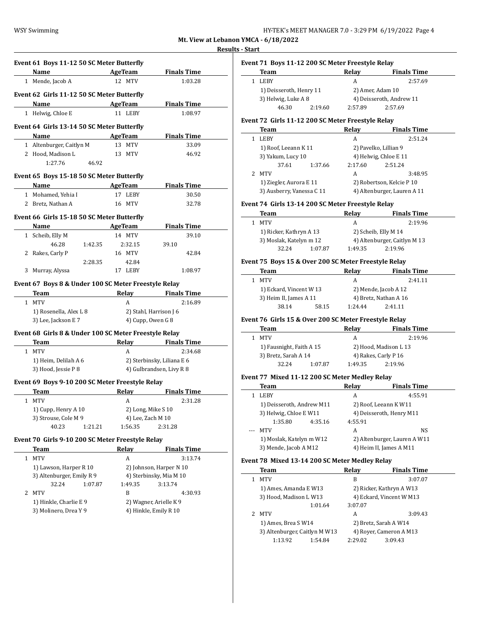## **Results - Start**

|   |                                                                                                                                                                                                                               | AgeTeam           | <b>Finals Time</b>                              |
|---|-------------------------------------------------------------------------------------------------------------------------------------------------------------------------------------------------------------------------------|-------------------|-------------------------------------------------|
|   | 1 Mende, Jacob A                                                                                                                                                                                                              | 12 MTV            | 1:03.28                                         |
|   | Event 62 Girls 11-12 50 SC Meter Butterfly                                                                                                                                                                                    |                   |                                                 |
|   | Name AgeTeam                                                                                                                                                                                                                  |                   | <b>Finals Time</b>                              |
|   | 1 Helwig, Chloe E                                                                                                                                                                                                             | 11 LEBY           | 1:08.97                                         |
|   |                                                                                                                                                                                                                               |                   |                                                 |
|   | Event 64 Girls 13-14 50 SC Meter Butterfly                                                                                                                                                                                    |                   |                                                 |
|   | Name                                                                                                                                                                                                                          | AgeTeam           | <b>Finals Time</b>                              |
|   | 1 Altenburger, Caitlyn M<br>2 Hood, Madison L                                                                                                                                                                                 | 13 MTV<br>13 MTV  | 33.09<br>46.92                                  |
|   | 1:27.76<br>46.92                                                                                                                                                                                                              |                   |                                                 |
|   |                                                                                                                                                                                                                               |                   |                                                 |
|   | Event 65 Boys 15-18 50 SC Meter Butterfly                                                                                                                                                                                     |                   |                                                 |
|   | Name AgeTeam                                                                                                                                                                                                                  |                   | <b>Finals Time</b>                              |
|   | 1 Mohamed, Yehia I                                                                                                                                                                                                            | 17 LEBY           | 30.50                                           |
|   | 2 Bretz, Nathan A                                                                                                                                                                                                             | 16 MTV            | 32.78                                           |
|   | Event 66 Girls 15-18 50 SC Meter Butterfly                                                                                                                                                                                    |                   |                                                 |
|   | Name and the same state of the state of the state of the state of the state of the state of the state of the state of the state of the state of the state of the state of the state of the state of the state of the state of | AgeTeam           | <b>Finals Time</b>                              |
|   | 1 Scheib, Elly M                                                                                                                                                                                                              | 14 MTV            | 39.10                                           |
|   | 46.28<br>1:42.35                                                                                                                                                                                                              | 2:32.15           | 39.10                                           |
|   | 2 Rakes, Carly P                                                                                                                                                                                                              | 16 MTV            | 42.84                                           |
|   | 2:28.35<br>3 Murray, Alyssa                                                                                                                                                                                                   | 42.84<br>17 LEBY  |                                                 |
|   |                                                                                                                                                                                                                               |                   | 1:08.97                                         |
|   | Event 67 Boys 8 & Under 100 SC Meter Freestyle Relay                                                                                                                                                                          |                   |                                                 |
|   |                                                                                                                                                                                                                               |                   |                                                 |
|   | Team                                                                                                                                                                                                                          |                   | Relay Finals Time                               |
|   | 1 MTV                                                                                                                                                                                                                         | A                 | 2:16.89                                         |
|   | 1) Rosenella, Alex L 8                                                                                                                                                                                                        |                   | 2) Stahl, Harrison J 6                          |
|   | 3) Lee, Jackson E 7                                                                                                                                                                                                           |                   | 4) Cupp, Owen G 8                               |
|   | Event 68 Girls 8 & Under 100 SC Meter Freestyle Relay                                                                                                                                                                         |                   |                                                 |
|   | Team                                                                                                                                                                                                                          |                   | Relay Finals Time                               |
|   | 1 MTV                                                                                                                                                                                                                         | A                 | 2:34.68                                         |
|   | 1) Heim, Delilah A 6                                                                                                                                                                                                          |                   | 2) Sterbinsky, Liliana E 6                      |
|   | 3) Hood, Jessie P 8                                                                                                                                                                                                           |                   | 4) Gulbrandsen, Livy R 8                        |
|   | Event 69 Boys 9-10 200 SC Meter Freestyle Relay                                                                                                                                                                               |                   |                                                 |
|   | <b>Team</b>                                                                                                                                                                                                                   |                   | Relay Finals Time                               |
|   | 1 MTV                                                                                                                                                                                                                         | A                 | 2:31.28                                         |
|   | 1) Cupp, Henry A 10                                                                                                                                                                                                           |                   | 2) Long, Mike S 10                              |
|   | 3) Strouse, Cole M 9                                                                                                                                                                                                          | 4) Lee, Zach M 10 |                                                 |
|   | 40.23<br>1:21.21                                                                                                                                                                                                              | 1:56.35           | 2:31.28                                         |
|   | Event 70 Girls 9-10 200 SC Meter Freestyle Relay                                                                                                                                                                              |                   |                                                 |
|   | Team                                                                                                                                                                                                                          | Relay             | <b>Finals Time</b>                              |
| 1 | <b>MTV</b>                                                                                                                                                                                                                    | А                 | 3:13.74                                         |
|   | 1) Lawson, Harper R 10                                                                                                                                                                                                        |                   | 2) Johnson, Harper N 10                         |
|   | 3) Altenburger, Emily R 9                                                                                                                                                                                                     |                   | 4) Sterbinsky, Mia M 10                         |
|   | 32.24<br>1:07.87                                                                                                                                                                                                              | 1:49.35           | 3:13.74                                         |
| 2 | <b>MTV</b>                                                                                                                                                                                                                    | B                 | 4:30.93                                         |
|   | 1) Hinkle, Charlie E 9<br>3) Molinero, Drea Y 9                                                                                                                                                                               |                   | 2) Wagner, Arielle K 9<br>4) Hinkle, Emily R 10 |

## **Event 71 Boys 11-12 200 SC Meter Freestyle Relay**

| Team                    |         | Relay            | <b>Finals Time</b>       |
|-------------------------|---------|------------------|--------------------------|
| <b>LEBY</b>             |         | А                | 2:57.69                  |
| 1) Deisseroth, Henry 11 |         | 2) Amer, Adam 10 |                          |
| 3) Helwig, Luke A 8     |         |                  | 4) Deisseroth, Andrew 11 |
| 46.30                   | 2:19.60 | 2:57.89          | 2:57.69                  |

#### **Event 72 Girls 11-12 200 SC Meter Freestyle Relay**

|    | <b>Team</b>               |         | Relay   | <b>Finals Time</b>          |  |
|----|---------------------------|---------|---------|-----------------------------|--|
|    | <b>LEBY</b>               |         | А       | 2:51.24                     |  |
|    | 1) Roof, Leeann K 11      |         |         | 2) Pavelko, Lillian 9       |  |
|    | 3) Yakum, Lucy 10         |         |         | 4) Helwig, Chloe E 11       |  |
|    | 37.61                     | 1:37.66 | 2:17.60 | 2:51.24                     |  |
| 2. | MTV                       |         | A       | 3:48.95                     |  |
|    | 1) Ziegler, Aurora E 11   |         |         | 2) Robertson, Kelcie P 10   |  |
|    | 3) Ausberry, Vanessa C 11 |         |         | 4) Altenburger, Lauren A 11 |  |

#### **Event 74 Girls 13-14 200 SC Meter Freestyle Relay**

| Team                    |         | Relay                        | <b>Finals Time</b> |
|-------------------------|---------|------------------------------|--------------------|
| MTV                     |         | А                            | 2:19.96            |
| 1) Ricker, Kathryn A 13 |         | 2) Scheib, Elly M 14         |                    |
| 3) Moslak, Katelyn m 12 |         | 4) Altenburger, Caitlyn M 13 |                    |
| 32.24                   | 1:07.87 | 1:49.35                      | 2:19.96            |

## **Event 75 Boys 15 & Over 200 SC Meter Freestyle Relay**

| Team                    |       | Relay                 | <b>Finals Time</b> |
|-------------------------|-------|-----------------------|--------------------|
| MTV                     |       | А                     | 2:41.11            |
| 1) Eckard, Vincent W 13 |       | 2) Mende, Jacob A 12  |                    |
| 3) Heim II, James A 11  |       | 4) Bretz, Nathan A 16 |                    |
| 38.14                   | 58.15 | 1:24.44               | 2:41.11            |

## **Event 76 Girls 15 & Over 200 SC Meter Freestyle Relay**

| Team                     |         | Relav                 | <b>Finals Time</b> |
|--------------------------|---------|-----------------------|--------------------|
| MTV                      |         | A                     | 2:19.96            |
| 1) Fausnight, Faith A 15 |         | 2) Hood, Madison L 13 |                    |
| 3) Bretz, Sarah A 14     |         | 4) Rakes, Carly P 16  |                    |
| 32.24                    | 1:07.87 | 1:49.35               | 2:19.96            |

## **Event 77 Mixed 11-12 200 SC Meter Medley Relay**

| Team                      |         | Relay                        | <b>Finals Time</b>      |
|---------------------------|---------|------------------------------|-------------------------|
| <b>LEBY</b>               |         | А                            | 4:55.91                 |
| 1) Deisseroth, Andrew M11 |         | 2) Roof, Leeann K W11        |                         |
| 3) Helwig, Chloe E W11    |         | 4) Deisseroth, Henry M11     |                         |
| 1:35.80                   | 4:35.16 | 4:55.91                      |                         |
| --- MTV                   |         | А                            | NS.                     |
| 1) Moslak, Katelyn m W12  |         | 2) Altenburger, Lauren A W11 |                         |
| 3) Mende, Jacob A M12     |         |                              | 4) Heim II, James A M11 |

#### **Event 78 Mixed 13-14 200 SC Meter Medley Relay**

| Team                          | Relay              | <b>Finals Time</b>       |  |
|-------------------------------|--------------------|--------------------------|--|
| <b>MTV</b>                    | B                  | 3:07.07                  |  |
| 1) Ames, Amanda E W13         |                    | 2) Ricker, Kathryn A W13 |  |
| 3) Hood, Madison L W13        |                    | 4) Eckard, Vincent W M13 |  |
|                               | 1:01.64<br>3:07.07 |                          |  |
| 2 MTV                         | А                  | 3:09.43                  |  |
| 1) Ames, Brea S W14           |                    | 2) Bretz, Sarah A W14    |  |
| 3) Altenburger, Caitlyn M W13 |                    | 4) Royer, Cameron A M13  |  |
| 1:13.92                       | 2:29.02<br>1:54.84 | 3:09.43                  |  |
|                               |                    |                          |  |